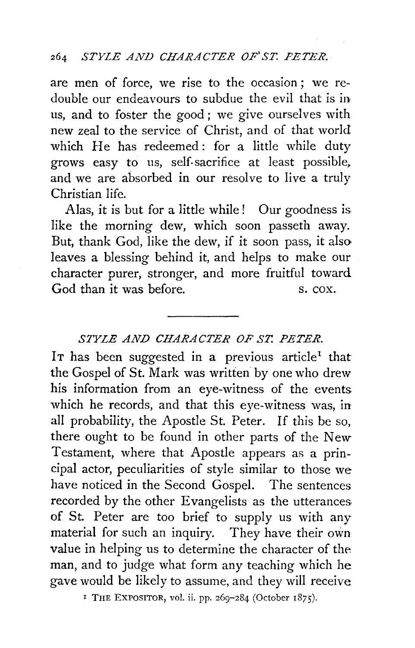are men of force, we rise to the occasion ; we redouble our endeavours to subdue the evil that is in us, and to foster the good ; we give ourselves with new zeal to the service of Christ, and of that world which He has redeemed: for a little while duty grows easy to us, self.sacrifice at least possible, and we are absorbed in our resolve to live a truly Christian life.

Alas, it is but for a little while! Our goodness is like the morning dew, which soon passeth away. But, thank God, like the dew, if it soon pass, it also leaves a blessing behind it, and helps to make our character purer, stronger, and more fruitful toward God than it was before. S. cox.

#### *STYLE AND CHARACTER OF ST. PETER.*

IT has been suggested in a previous article<sup>1</sup> that the Gospel of St. Mark was written by one who drew his information from an eye-witness of the events which he records, and that this eye-witness was, in all probability, the Apostle St. Peter. If this be so, there ought to be found in other parts of the New Testament, where that Apostle appears as a principal actor, peculiarities of style similar to those we have noticed in the Second Gospel. The sentences recorded by the other Evangelists as the utterances. of St. Peter are too brief to supply us with any material for such an inquiry. They have their own value in helping us to determine the character of the man, and to judge what form any teaching which he gave would be likely to assume, and they will receive

<sup>I</sup> THE EXPOSITOR, vol. ii. pp. 269-284 (October  $1875$ ).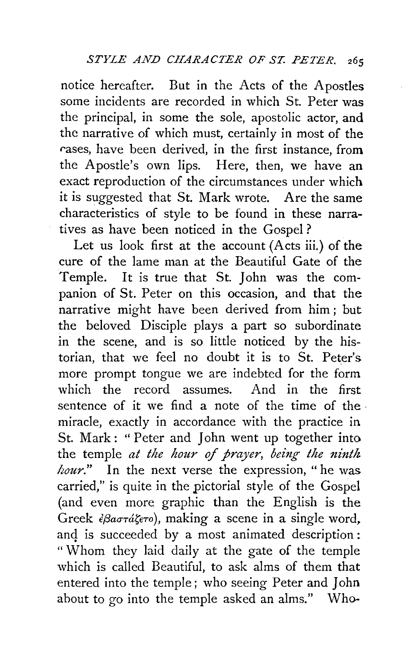notice hereafter. But in the Acts of the Apostles some incidents are recorded in which St. Peter was the principal, in some the sole, apostolic actor, and the narrative of which must, certainly in most of the rases, have been derived, in the first instance, from the Apostle's own lips. Here, then, we have an exact reproduction of the circumstances under which it is suggested that St. Mark wrote. Are the same characteristics of style to be found in these narratives as have been noticed in the Gospel?

Let us look first at the account (Acts iii.) of the cure of the lame man at the Beautiful Gate of the Temple. It is true that St. John was the companion of St. Peter on this occasion, and that the narrative might have been derived from him ; but the beloved Disciple plays a part so subordinate in the scene, and is so little noticed by the historian, that we feel no doubt it is to St. Peter's more prompt tongue we are indebted for the form which the record assumes. And in the first sentence of it we find a note of the time of the miracle, exactly in accordance with the practice in St. Mark : " Peter and John went up together into the temple *at the hour of prayer*, being the ninth *hour."* In the next verse the expression, "he was carried," is quite in the pictorial style of the Gospel (and even more graphic than the English is the Greek *εβαστάζετο*), making a scene in a single word, and is succeeded by a most animated description: "Whom they laid daily at the gate of the temple which is called Beautiful, to ask alms of them that entered into the temple; who seeing Peter and John about to go into the temple asked an alms." Who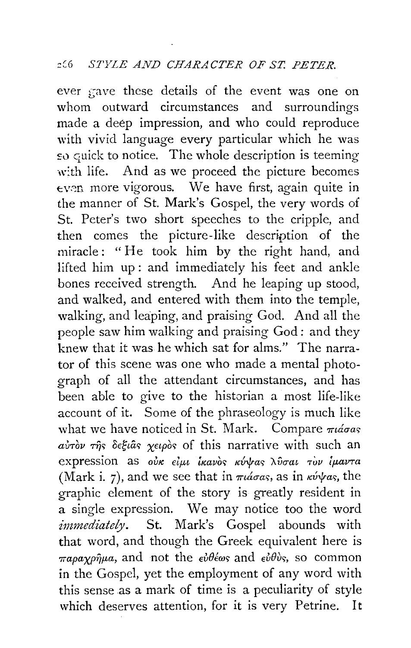ever f;ave these details of the event was one on whom outward circumstances and surroundings made a deep impression, and who could reproduce with vivid language every particular which he was so quick to notice. The whole description is teeming with life. And as we proceed the picture becomes  $even$  more vigorous. We have first, again quite in the manner of St. Mark's Gospel, the very words of St. Peter's two short speeches to the cripple, and then comes the picture-like description of the miracle: "He took him by the right hand, and lifted him up: and immediately his feet and ankle bones received strength. And he leaping up stood, and walked, and entered with them into the temple, walking, and leaping, and praising God. And all the people saw him walking and praising God : and they knew that it was he which sat for alms." The narrator of this scene was one who made a mental photograph of all the attendant circumstances, and has been able to give to the historian a most life-like account of it. Some of the phraseology is much like what we have noticed in St. Mark. Compare  $\pi\iota\acute{\alpha}\sigma$ as  $a\dot{v}$  $\dot{v}$  $\dot{v}$   $\tau$  $\dot{\eta}$ s  $\delta$ e $\xi$ *i*as  $\chi$ eipòs of this narrative with such an expression as oux *Elul Ixavos Kvvas Aboat Tov luavta* (Mark i. 7), and we see that in  $\pi i \dot{\alpha} \sigma \dot{\alpha} s$ , as in  $\kappa \dot{\nu} \gamma \dot{\alpha} s$ , the graphic element of the story is greatly resident in a single expression. We may notice too the word *immediately.* St. Mark's Gospel abounds with that word, and though the Greek equivalent here is  $\pi a \rho a \gamma \rho \hat{\eta} \mu a$ , and not the  $\epsilon \hat{\nu} \theta \hat{\epsilon} \omega s$  and  $\epsilon \hat{\nu} \theta \hat{\nu} s$ , so common in the Gospel, yet the employment of any word with this sense as a mark of time is a peculiarity of style which deserves attention, for it is very Petrine. It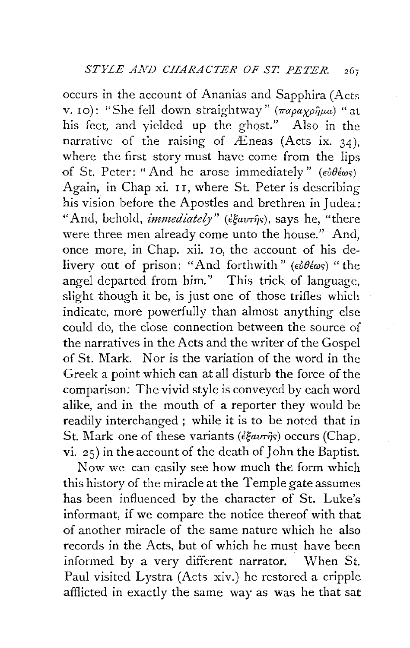occurs in the account of Ananias and Sapphira (Acts v. 10): "She fell down straightway" ( $\pi a \rho a \chi \rho \hat{\eta} \mu a$ ) "at his feet, and yielded up the ghost." Also in the narrative of the raising of  $\overline{E}$ neas (Acts ix. 34), where the first story must have come from the lips of St. Peter: "And he arose immediately"  $(e^{i\theta}e^{\omega s})$ Again, in Chap xi. 11, where St. Peter is describing his vision before the Apostles and brethren in Judea: "And, behold, *immediately*" ( $\epsilon \xi \omega \tau \hat{\eta}$ s), says he, "there were three men already come unto the house." And, once more, in Chap. xii. 10, the account of his delivery out of prison: "And forthwith" ( $\epsilon \partial \theta \epsilon \omega s$ ) "the angel departed from him." This trick of language, slight though it be, is just one of those trifles which indicate, more powerfully than almost anything else could do, the close connection between the source of the narratives in the Acts and the writer of the Gospel of St. Mark. Nor is the variation of the word in the Greek a point which can at all disturb the force of the comparison: The vivid style is conveyed by each word alike, and in the mouth of a reporter they would be readily interchanged; while it is to be noted that in St. Mark one of these variants ( $\epsilon \xi a v \tau \hat{\eta}s$ ) occurs (Chap. vi. 25) in the account of the death of John the Baptist.

Now we can easily see how much the form which this history of the miracle at the Temple gate assumes has been influenced by the character of St. Luke's informant, if we compare the notice thereof with that of another miracle of the same nature which he also records in the Acts, but of which he must have been informed by a very different narrator. When St. Paul visited Lystra (Acts xiv.) he restored a cripple afflicted in exactly the same way as was he that sat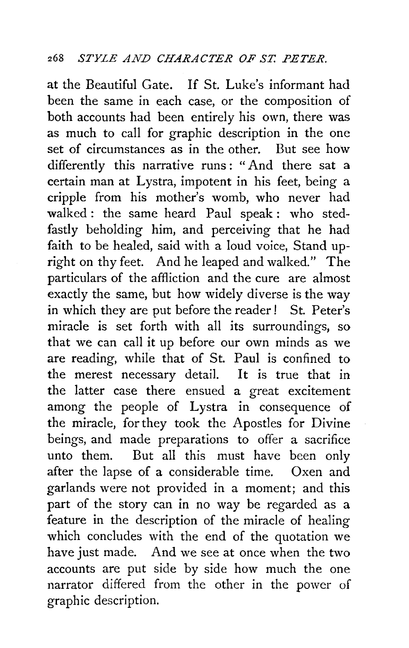at the Beautiful Gate. If St. Luke's informant had been the same in each case, or the composition of both accounts had been entirely his own, there was as much to call for graphic description in the one set of circumstances as in the other. But see how differently this narrative runs : " And there sat a certain man at Lystra, impotent in his feet, being a cripple from his mother's womb, who never had walked : the same heard Paul speak : who stedfastly beholding him, and perceiving that he had faith to be healed, said with a loud voice, Stand upright on thy feet. And he leaped and walked." The particulars of the affliction and the cure are almost exactly the same, but how widely diverse is the way in which they are put before the reader! St. Peter's miracle is set forth with all its surroundings, so that we can call it up before our own minds as we are reading, while that of St. Paul is confined to the merest necessary detail. It is true that in the latter case there ensued a great excitement among the people of Lystra in consequence of the miracle, for they took the Apostles for Divine beings, and made preparations to offer a sacrifice unto them. But all this must have been only after the lapse of a considerable time. Oxen and garlands were not provided in a moment; and this part of the story can in no way be regarded as a feature in the description of the miracle of healing which concludes with the end of the quotation we have just made. And we see at once when the two accounts are put side by side how much the one narrator differed from the other in the power of graphic description.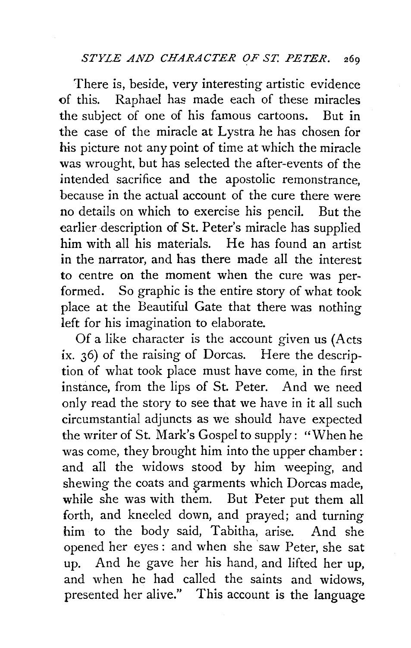There is, beside, very interesting artistic evidence of this. Raphael has made each of these miracles the subject of one of his famous cartoons. But in the case of the miracle at Lystra he has chosen for his picture not any point of time at which the miracle was wrought, but has selected the after-events of the intended sacrifice and the apostolic remonstrance, because in the actual account of the cure there were no details on which to exercise his pencil. But the earlier description of St. Peter's miracle has supplied him with all his materials. He has found an artist in the narrator, and has there made all the interest to centre on the moment when the cure was performed. So graphic is the entire story of what took place at the Beautiful Gate that there was nothing left for his imagination to elaborate.

Of a like character is the account given us (Acts ix. 36) of the raising of Dorcas. Here the description of what took place must have come, in the first instance, from the lips of St. Peter. And we need only read the story to see that we have in it all such circumstantial adjuncts as we should have expected the writer of St. Mark's Gospel to supply: "When he was come, they brought him into the upper chamber: and all the widows stood by him weeping, and shewing the coats and garments which Dorcas made, while she was with them. But Peter put them all forth, and kneeled down, and prayed; and turning him to the body said, Tabitha, arise. And she opened her eyes : and when she 'saw Peter, she sat up. And he gave her his hand, and lifted her up, and when he had called the saints and widows, presented her alive." This account is the language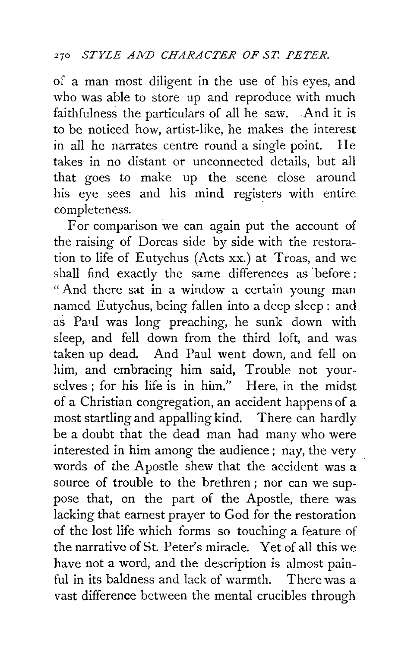of a man most diligent in the use of his eyes, and who was able to store up and reproduce with much faithfulness the particulars of all he saw. And it is to be noticed how, artist-like, he makes the interest in all he narrates centre round a single point. He takes in no distant or unconnected details, but all that goes to make up the scene close around his eye sees and his mind registers with entire completeness.

For comparison we can again put the account of the raising of Dorcas side by side with the restoration to life of Eutychus (Acts xx.) at Troas, and we shall find exactly the same differences as 'before: " And there sat in a window a certain young man named Eutychus, being fallen into a deep sleep: and as Paul was long preaching, he sunk down with sleep, and fell down from the third loft, and was ·taken up dead. And Paul went down, and fell on him, and embracing him said, Trouble not yourselves ; for his life is in him." Here, in the midst of a Christian congregation, an accident happens of a most startling and appalling kind. There can hardly be a doubt that the dead man had many who were interested in him among the audience ; nay, the very words of the Apostle shew that the accident was a source of trouble to the brethren ; nor can we suppose that, on the part of the Apostle, there was lacking that earnest prayer to God for the restoration of the lost life which forms so touching a feature of the narrative of St. Peter's miracle. Yet of all this we have not a word, and the description is almost painful in its baldness and lack of warmth. There was a vast difference between the mental crucibles through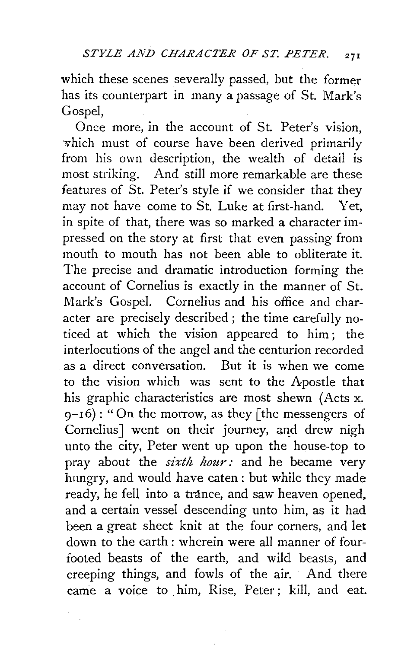which these scenes severally passed, but the former has its counterpart in many a passage of St. Mark's Gospel,

Once more, in the account of St. Peter's vision, which must of course have been derived primarily from his own description, the wealth of detail is most striking. And still more remarkable are these features of St. Peter's style if we consider that they may not have come to St. Luke at first-hand. Yet, in spite of that, there was so marked a character impressed on the story at first that even passing from mouth to mouth has not been able to obliterate it. The precise and dramatic introduction forming the account of Cornelius is exactly in the manner of St. Mark's Gospel. Cornelius and his office and character are precisely described; the time carefully noticed at which the vision appeared to him ; the interlocutions of the angel and the centurion recorded as a direct conversation. But it is when we come to the vision which was sent to the Apostle that his graphic characteristics are most shewn (Acts x.  $9-16$ : "On the morrow, as they [the messengers of Cornelius] went on their journey, and drew nigh unto the city, Peter went up upon the house-top to pray about the *sixth hour:* and he became very hungry, and would have eaten : but while they made ready, he fell into a trance, and saw heaven opened, and a certain vessel descending unto him, as it had been a great sheet knit at the four corners, and let down to the earth : wherein were all manner of fourfooted beasts of the earth, and wild beasts, and creeping things, and fowls of the air. And there came a voice to him, Rise, Peter; kill, and eat.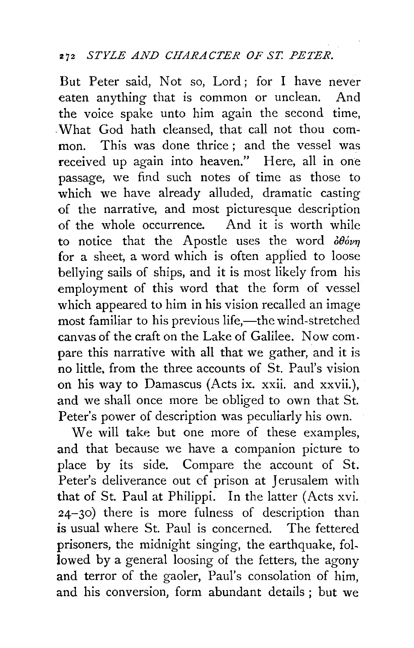#### 272 *STYLE AND CHARACTER OF ST. PETER.*

But Peter said, Not so, Lord; for I have never eaten anything that is common or unclean. And the voice spake unto him again the second time, -What God hath cleansed, that call not thou common. This was done thrice ; and the vessel was received up again into heaven." Here, all in one passage, we find such notes of time as those to which we have already alluded, dramatic casting of the narrative, and most picturesque description of the whole occurrence. And it is worth while to notice that the Apostle uses the word  $\partial \theta_{\text{ov}}$ for a sheet, a word which is often applied to loose bellying sails of ships, and it is most likely from his employment of this word that the form of vessel which appeared to him in his vision recalled an image most familiar to his previous life,-the wind-stretched canvas of the craft on the Lake of Galilee. Now compare this narrative with all that we gather, and it is no little, from the three accounts of St. Paul's vision on his way to Damascus (Acts ix. xxii. and xxvii.), and we shall once more be obliged to own that St. Peter's power of description was peculiarly his own.

We will take but one more of these examples, and that because we have a companion picture to place by its side. Compare the account of St. Peter's deliverance out *cf* prison at Jerusalem with that of St. Paul at Philippi. In the latter (Acts xvi. 24-30) there is more fulness of description than is usual where St. Paul is concerned. The fettered prisoners, the midnight singing, the earthquake, followed by a general loosing of the fetters, the agony and terror of the gaoler, Paul's consolation of him, and his conversion, form abundant details ; but we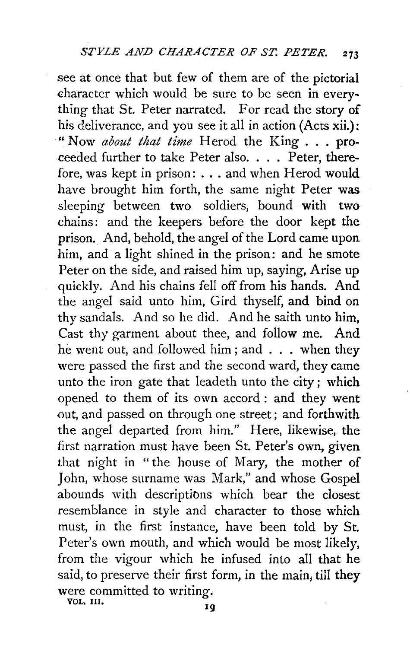see at once that but few of them are of the pictorial character which would be sure to be seen in everything that St. Peter narrated. For read the story of his deliverance, and you see it all in action (Acts xii.): "Now *about that time* Herod the King ... proceeded further to take Peter also .... Peter, therefore, was kept in prison: ... and when Herod would have brought him forth, the same night Peter was sleeping between two soldiers, bound with two chains: and the keepers before the door kept the prison. And, behold, the angel of the Lord came upon him, and a light shined in the prison: and he smote Peter on the side, and raised him up, saying, Arise up quickly. And his chains fell off from his hands. And the angel said unto him, Gird thyself, and bind on thy sandals. And so he did. And he saith unto him, Cast thy garment about thee, and follow me. And he went out, and followed him ; and . . . when they were passed the first and the second ward, they came unto the iron gate that leadeth unto the city; which opened to them of its own accord : and they went out, and passed on through one street ; and forthwith the angel departed from him." Here, likewise, the first narration must have been St. Peter's own, given that night in " the house of Mary, the mother of John, whose surname was Mark," and whose Gospel abounds with descriptibns which bear the closest resemblance in style and character to those which must, in the first instance, have been told by St. Peter's own mouth, and which would be most likely, from the vigour which he infused into all that he said, to preserve their first form, in the main, till they were committed to writing.

VOL. III.  $\frac{3}{19}$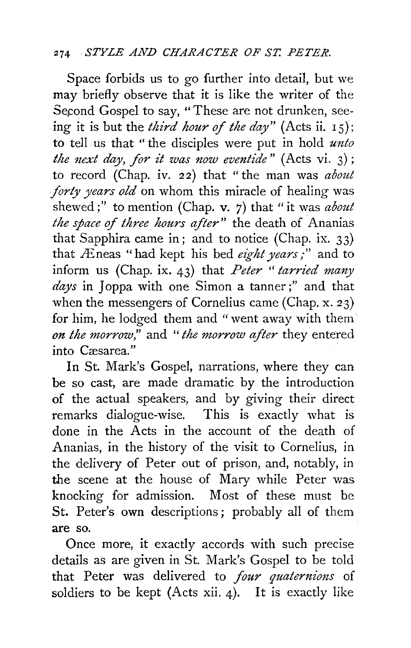## 274 *STYLE AND CHARACTER OF ST. PETER.*

Space forbids us to go further into detail, but we may briefly observe that it is like the writer of the Second Gospel to say, "These are not drunken, seeing it is but the *third hour of the day"* (Acts ii. 1 5); to tell . us that '' the disciples were put in hold *unto the next day, for it was now eventide"* (Acts vi. 3); to record (Chap. iv. 22) that "the man was *about forty years old* on whom this miracle of healing was shewed ;" to mention (Chap. v. 7) that "it was *about the space* of *three hours after"* the death of Ananias that Sapphira came in; and to notice (Chap. ix. 33) that LEneas "had kept his bed *eight years/'* and to inform us (Chap. ix. 43) that *Peter* " *tarried many*  days in Joppa with one Simon a tanner;" and that when the messengers of Cornelius came (Chap. x. 23) for him, he lodged them and "went away with them *on the morrow,"* and *"the morrow after* they entered into Casarea."

In St. Mark's Gospel, narrations, where they can be so cast, are made dramatic by the introduction of the actual speakers, and by giving their direct remarks dialogue-wise. This is exactly what is done in the Acts in the account of the death of Ananias, in the history of the visit to Cornelius, in the delivery of Peter out of prison, and, notably, in the scene at the house of Mary while Peter was knocking for admission. Most of these must be St. Peter's own descriptions; probably all of them are so.

Once more, it exactly accords with such precise details as are given in St. Mark's Gospel to be told that Peter was delivered to *four quaternions* of soldiers to be kept (Acts xii. 4). It is exactly like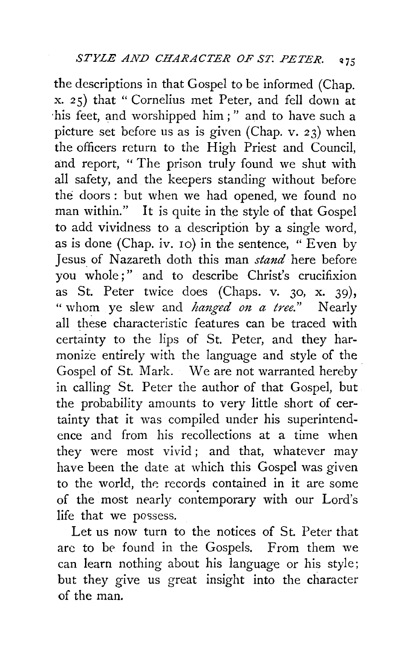the descriptions in that Gospel to be informed (Chap. x. 25) that " Cornelius met Peter, and fell down at his feet, and worshipped him;" and to have such a picture set before us as is given (Chap. v. 23) when the officers return to the High Priest and Council, and report, "The prison truly found we shut with all safety, and the keepers standing without before the doors : but when we had opened, we found no man within." It is quite in the style of that Gospel to add vividness to a description by a single word, as is done (Chap. iv. 10) in the sentence, "Even by Jesus of Nazareth cloth this man *stand* here before you whole;" and to describe Christ's crucifixion as St. Peter twice does (Chaps. v. 30, x. 39), " whom ye slew and *hanged on a tree."* Nearly all these characteristic features can be traced with certainty to the lips of St. Peter, and they harmonize entirely with the language and style of the. Gospel of St. Mark. We are not warranted hereby in calling St. Peter the author of that Gospel, but the probability amounts to very little short of certainty that it was compiled under his superintendence and from his recollections at a time when they were most vivid; and that, whatever may have been the date at which this Gospel was given to the world, the records contained in it are some of the most nearly contemporary with our Lord's life that we possess.

Let us now turn to the notices of St. Peter that arc to be found in the Gospels. From them we can learn nothing about his language or his style; but they give us great insight into the character of the man.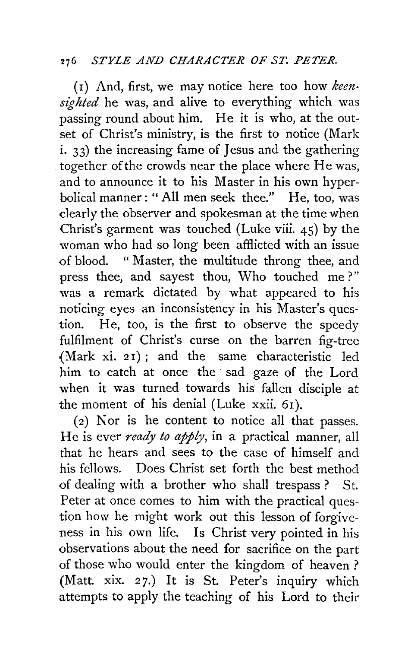# 276 *STYLE AND CHARACTER OF ST. PETER.*

(1) And, first, we may notice here too how *keensi'ghted* he was, and alive to everything which was passing round about him. He it is who, at the outset of Christ's ministry, is the first to notice (Mark i. 33) the increasing fame of Jesus and the gathering together of the crowds near the place where He was, and to announce it to his Master in his own hyperbolical manner:" All men seek thee." He, too, was clearly the observer and spokesman at the time when Christ's garment was touched (Luke viii. 45) by the woman who had so long been afflicted with an issue of blood. " Master, the multitude throng thee, and press thee, and sayest thou, Who touched me?" was a remark dictated by what appeared to his noticing eyes an inconsistency in his Master's question. He, too, is the first to observe the speedy fulfilment of Christ's curse on the barren fig-tree (Mark xi. *2* I) ; and the same characteristic led him to catch at once the sad gaze of the Lord when it was turned towards his fallen disciple at the moment of his denial (Luke xxii. 6I).

( 2) Nor is he content to notice all that passes. He is ever *ready to apply,* in a practical manner, all that he hears and sees to the case of himself and his fellows. Does Christ set forth the best method of dealing with a brother who shall trespass ? St. Peter at once comes to him with the practical question how he might work out this lesson of forgiveness in his own life. Is Christ very pointed in his observations about the need for sacrifice on the part of those who would enter the kingdom of heaven? (Matt. xix. 27.) It is St. Peter's inquiry which attempts to apply the teaching of his Lord to their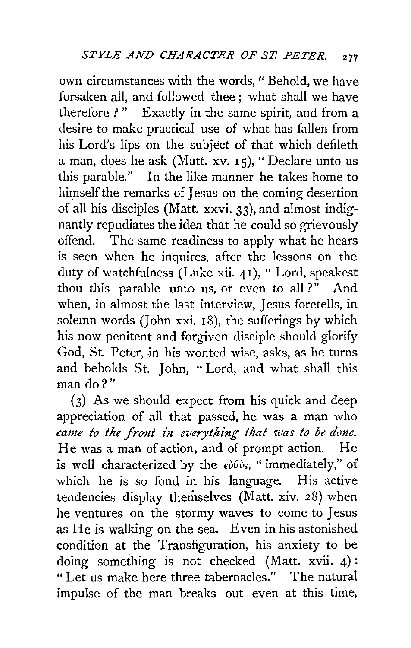own circumstances with the words, " Behold, we have forsaken all, and followed thee; what shall we have therefore ?" Exactly in the same spirit, and from a desire to make practical use of what has fallen from his Lord's lips on the subject of that which defileth a man, does he ask (Matt. XV. Is), " Declare unto us this parable." In the like manner he takes home to himself the remarks of Jesus on the coming desertion of all his disciples (Matt. xxvi. 33), and almost indignantly repudiates the idea that he could so grievously offend. The same readiness to apply what he hears is seen when he inquires, after the lessons on the duty of watchfulness (Luke xii. 4I), " Lord, speakest thou this parable unto us, or even to all ?" And when, in almost the last interview, Jesus foretells, in solemn words (John xxi.  $18$ ), the sufferings by which his now penitent and forgiven disciple should glorify God, St. Peter, in his wonted wise, asks, as he turns and beholds St. John, "Lord, and what shall this man do?"

(3) As we should expect from his quick and deep appreciation of all that passed, he was a man who *came to the front in everything that was to be done.*  He was a man of action, and of prompt action. He is well characterized by the  $\epsilon \partial \theta \partial s$ , " immediately," of which he is so fond in his language. His active tendencies display themselves (Matt. xiv. 28) when he ventures on the stormy waves to come to Jesus as He is walking on the sea. Even in his astonished condition at the Transfiguration, his anxiety to be doing something is not checked (Matt. xvii. 4) : "Let us make here three tabernacles." The natural impulse of the man breaks out even at this time,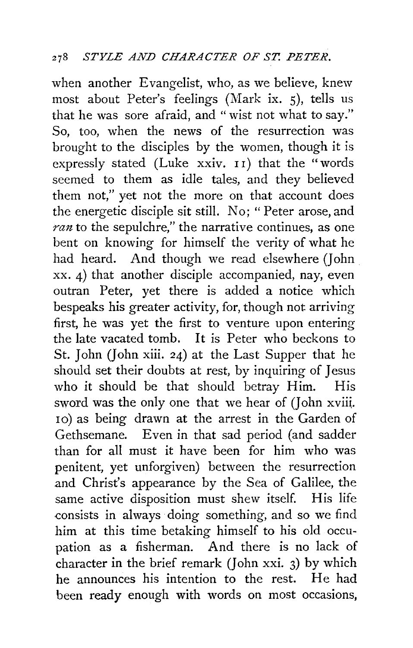when another Evangelist, who, as we believe, knew most about Peter's feelings (Mark ix. 5), tells us that he was sore afraid, and "wist not what to say." So, too, when the news of the resurrection was brought to the disciples by the women, though it is expressly stated (Luke xxiv. 11) that the "words seemed to them as idle tales, and they believed them not," yet not the more on that account does the energetic disciple sit still. No; " Peter arose, and *ran* to the sepulchre," the narrative continues, as one bent on knowing for himself the verity of what he had heard. And though we read elsewhere *(]* ohn xx. 4) that another disciple accompanied, nay, even outran Peter, yet there is added a notice which bespeaks his greater activity, for, though not arriving first, he was yet the first to venture upon entering the late vacated tomb. It is Peter who beckons to St. John (John xiii. 24) at the Last Supper that he should set their doubts at rest, by inquiring of Jesus who it should be that should betray Him. His sword was the only one that we hear of (John xviii. 10) as being drawn at the arrest in the Garden of Gethsemane. Even in that sad period (and sadder than for all must it have been for him who was penitent, yet unforgiven) between the resurrection and Christ's appearance by the Sea of Galilee, the same active disposition must shew itself. His life consists in always doing something, and so we find him at this time betaking himself to his old occupation as a fisherman. And there is no lack of character in the brief remark (John xxi. 3) by which he announces his intention to the rest. He had been ready enough with words on most occasions,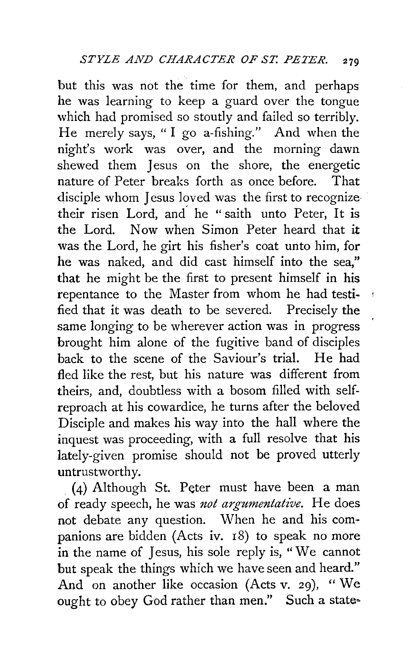but this was not the time for them, and perhaps he was learning to keep a guard over the tongue which had promised so stoutly and failed so terribly. He merely says, " I go a-fishing." And when the night's work was over, and the morning dawn shewed them Jesus on the shore, the energetic nature of Peter breaks forth as once before. That disciple whom Jesus loved was the first to recognize their risen Lord, and he "saith unto Peter, It is the Lord. Now when Simon Peter heard that it was the Lord, he girt his fisher's coat unto him, for he was naked, and did cast himself into the sea," that he might be the first to present himself in his repentance to the Master from whom he had testified that it was death to be severed. Precisely the same longing to be wherever action was in progress brought him alone of the fugitive band of disciples back to the scene of the Saviour's trial. He had fled like the rest, but his nature was different from theirs, and, doubtless with a bosom filled with selfreproach at his cowardice, he turns after the beloved Disciple and makes his way into the hall where the inquest was proceeding, with a full resolve that his lately-given promise should not be proved utterly untrustworthy.

. (4) Although St. Peter must have been a man of ready speech, he was *not argumentative.* He does not debate any question. When he and his companions are bidden (Acts iv. 18) to speak no more in the name of Jesus, his sole reply is, " We cannot but speak the things which we have seen and heard." And on another like occasion (Acts v. 29), "We ought to obey God rather than men." Such a state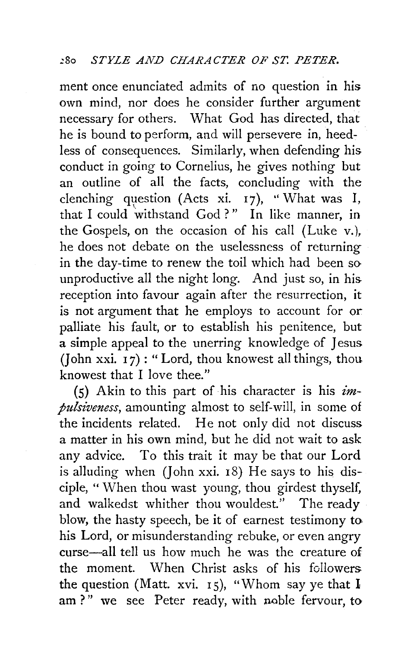ment once enunciated admits of no question in his own mind, nor does he consider further argument necessary for others. What God has directed, that he is bound to perform, and will persevere in, heedless of consequences. Similarly, when defending his conduct in going to Cornelius, he gives nothing but an outline of all the facts, concluding with the clenching question (Acts xi.  $_{17}$ ), "What was I, that I could withstand God?" In like manner, in the Gospels, on the occasion of his call (Luke v.), he does not debate on the uselessness of returning in the day-time to renew the toil which had been so unproductive all the night long. And just so, in his reception into favour again after the resurrection, it is not argument that he employs to account for or palliate his fault, or to establish his penitence, but a simple appeal to the unerring knowledge of Jesus (John xxi.  $17$ ): "Lord, thou knowest all things, thou knowest that I love thee."

(5) Akin to this part of his character is his *impulsiveness,* amounting almost to self-will, in some of the incidents related. He not only did not discuss a matter in his own mind, but he did not wait to ask any advice. To this trait it may be that our Lord is alluding when *(John xxi. 18)* He says to his disciple, " When thou wast young, thou girdest thyself, and walkedst whither thou wouldest." The ready blow, the hasty speech, be it of earnest testimony to his Lord, or misunderstanding rebuke, or even angry curse-all tell us how much he was the creature of the moment. When Christ asks of his followers the question (Matt. xvi. 15), "Whom say ye that  $I$ am?" we see Peter ready, with noble fervour, to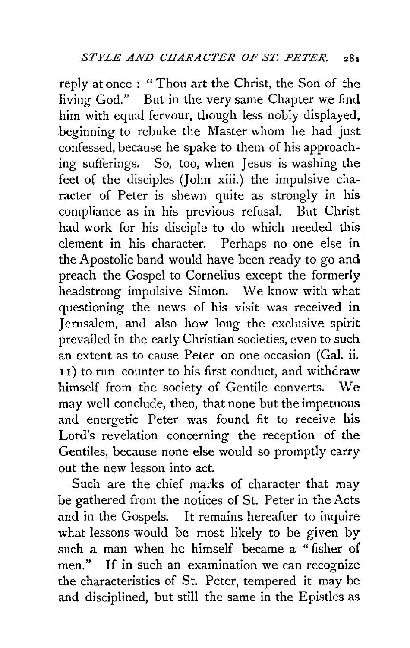reply at once : "Thou art the Christ, the Son of the living God." But in the very same Chapter we find him with equal fervour, though less nobly displayed, beginning to rebuke the Master whom he had just confessed, because he spake to them of his approaching sufferings. So, too, when Jesus is washing the feet of the disciples (John xiii.) the impulsive character of Peter is shewn quite as strongly in his compliance as in his previous refusal. But Christ had work for his disciple to do which needed this element in his character. Perhaps no one else in the Apostolic band would have been ready to go and preach the Gospel to Cornelius except the formerly headstrong impulsive Simon. We know with what questioning the news of his visit was received in Jerusalem, and also how long the exclusive spirit prevailed in the early Christian societies, even to such an extent as to cause Peter on one occasion (Gal. ii. I I) to run counter to his first conduct, and withdraw himself from the society of Gentile converts. We may well conclude, then, that none but the impetuous and energetic Peter was found fit to receive his Lord's revelation concerning the reception of the Gentiles, because none else would so promptly carry out the new lesson into act.

Such are the chief marks of character that may be gathered from the notices of St. Peter in the Acts and in the Gospels. It remains hereafter to inquire what lessons would be most likely to be given by such a man when he himself became a " fisher of men." If in such an examination we can recognize the characteristics of St. Peter, tempered it may be and disciplined, but still the same in the Epistles as